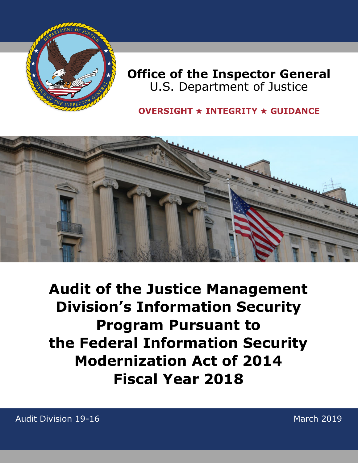

# **Office of the Inspector General** U.S. Department of Justice

## **OVERSIGHT** ★ **INTEGRITY** ★ **GUIDANCE**



**Audit of the Justice Management Division's Information Security Program Pursuant to the Federal Information Security Modernization Act of 2014 Fiscal Year 2018** 

Audit Division 19-16

March 2019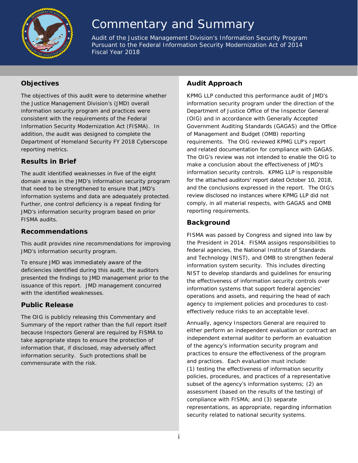

# Commentary and Summary

*Audit of the Justice Management Division's Information Security Program Pursuant to the Federal Information Security Modernization Act of 2014 Fiscal Year 2018*

### **Objectives**

The objectives of this audit were to determine whether the Justice Management Division's (JMD) overall information security program and practices were consistent with the requirements of the Federal Information Security Modernization Act (FISMA). In addition, the audit was designed to complete the Department of Homeland Security FY 2018 Cyberscope reporting metrics.

#### **Results in Brief**

The audit identified weaknesses in five of the eight domain areas in the JMD's information security program that need to be strengthened to ensure that JMD's information systems and data are adequately protected. Further, one control deficiency is a repeat finding for JMD's information security program based on prior FISMA audits.

#### **Recommendations**

This audit provides nine recommendations for improving JMD's information security program.

To ensure JMD was immediately aware of the deficiencies identified during this audit, the auditors presented the findings to JMD management prior to the issuance of this report. JMD management concurred with the identified weaknesses.

### **Public Release**

The OIG is publicly releasing this Commentary and Summary of the report rather than the full report itself because Inspectors General are required by FISMA to take appropriate steps to ensure the protection of information that, if disclosed, may adversely affect information security. Such protections shall be commensurate with the risk.

#### **Audit Approach**

KPMG LLP conducted this performance audit of JMD's information security program under the direction of the Department of Justice Office of the Inspector General (OIG) and in accordance with *Generally Accepted Government Auditing Standards* (GAGAS) and the Office of Management and Budget (OMB) reporting requirements. The OIG reviewed KPMG LLP's report and related documentation for compliance with GAGAS. The OIG's review was not intended to enable the OIG to make a conclusion about the effectiveness of JMD's information security controls. KPMG LLP is responsible for the attached auditors' report dated October 10, 2018, and the conclusions expressed in the report. The OIG's review disclosed no instances where KPMG LLP did not comply, in all material respects, with GAGAS and OMB reporting requirements.

#### **Background**

FISMA was passed by Congress and signed into law by the President in 2014. FISMA assigns responsibilities to federal agencies, the National Institute of Standards and Technology (NIST), and OMB to strengthen federal information system security. This includes directing NIST to develop standards and guidelines for ensuring the effectiveness of information security controls over information systems that support federal agencies' operations and assets, and requiring the head of each agency to implement policies and procedures to costeffectively reduce risks to an acceptable level.

Annually, agency Inspectors General are required to either perform an independent evaluation or contract an independent external auditor to perform an evaluation of the agency's information security program and practices to ensure the effectiveness of the program and practices. Each evaluation must include: (1) testing the effectiveness of information security policies, procedures, and practices of a representative subset of the agency's information systems; (2) an assessment (based on the results of the testing) of compliance with FISMA; and (3) separate representations, as appropriate, regarding information security related to national security systems.